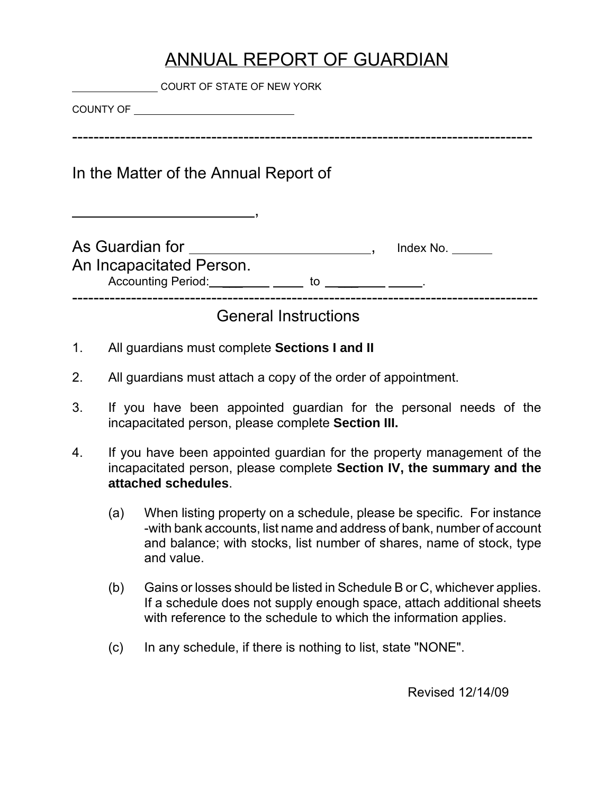# ANNUAL REPORT OF GUARDIAN

|    | COURT OF STATE OF NEW YORK                                                                                                                                |
|----|-----------------------------------------------------------------------------------------------------------------------------------------------------------|
|    |                                                                                                                                                           |
|    | In the Matter of the Annual Report of                                                                                                                     |
|    | As Guardian for _________________________________, Index No. ______<br>An Incapacitated Person.<br>Accounting Period: _________ _____ to _________ _____. |
|    | <b>General Instructions</b>                                                                                                                               |
| 1. | All guardians must complete Sections I and II                                                                                                             |
| 2. | All guardians must attach a copy of the order of appointment.                                                                                             |

- 3. If you have been appointed guardian for the personal needs of the incapacitated person, please complete **Section III.**
- 4. If you have been appointed guardian for the property management of the incapacitated person, please complete **Section IV, the summary and the attached schedules**.
	- (a) When listing property on a schedule, please be specific. For instance -with bank accounts, list name and address of bank, number of account and balance; with stocks, list number of shares, name of stock, type and value.
	- (b) Gains or losses should be listed in Schedule B or C, whichever applies. If a schedule does not supply enough space, attach additional sheets with reference to the schedule to which the information applies.
	- (c) In any schedule, if there is nothing to list, state "NONE".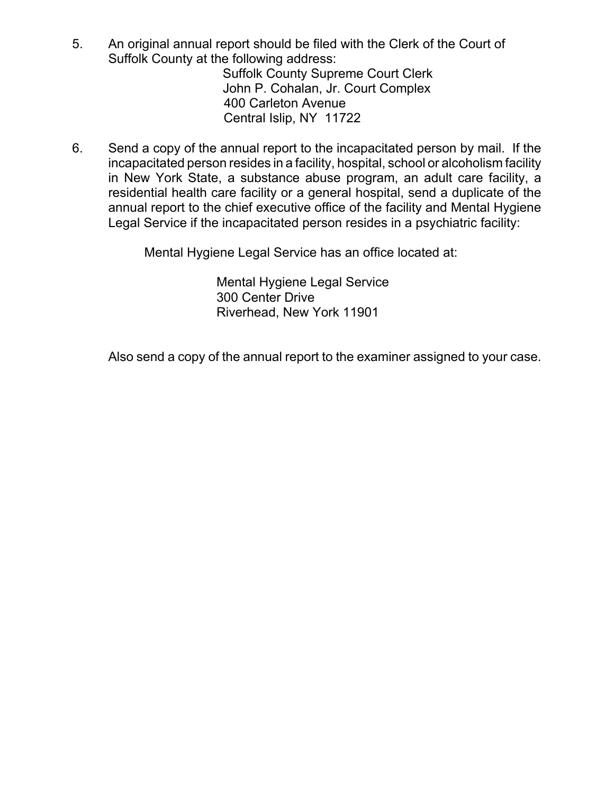- 5. An original annual report should be filed with the Clerk of the Court of Suffolk County at the following address: Suffolk County Supreme Court Clerk John P. Cohalan, Jr. Court Complex 400 Carleton Avenue
	- Central Islip, NY 11722
- 6. Send a copy of the annual report to the incapacitated person by mail. If the incapacitated person resides in a facility, hospital, school or alcoholism facility in New York State, a substance abuse program, an adult care facility, a residential health care facility or a general hospital, send a duplicate of the annual report to the chief executive office of the facility and Mental Hygiene Legal Service if the incapacitated person resides in a psychiatric facility:

Mental Hygiene Legal Service has an office located at:

Mental Hygiene Legal Service 300 Center Drive Riverhead, New York 11901

Also send a copy of the annual report to the examiner assigned to your case.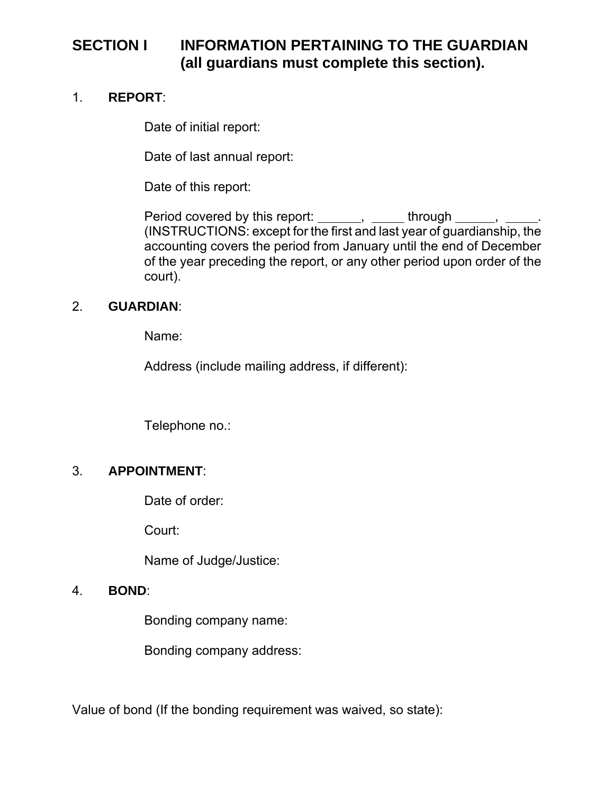### **SECTION I INFORMATION PERTAINING TO THE GUARDIAN (all guardians must complete this section).**

#### 1. **REPORT**:

Date of initial report:

Date of last annual report:

Date of this report:

Period covered by this report: \_\_\_\_\_\_, \_\_\_\_\_ through \_\_\_\_\_, \_\_\_\_. (INSTRUCTIONS: except for the first and last year of guardianship, the accounting covers the period from January until the end of December of the year preceding the report, or any other period upon order of the court).

### 2. **GUARDIAN**:

Name:

Address (include mailing address, if different):

Telephone no.:

### 3. **APPOINTMENT**:

Date of order:

Court:

Name of Judge/Justice:

### 4. **BOND**:

Bonding company name:

Bonding company address:

Value of bond (If the bonding requirement was waived, so state):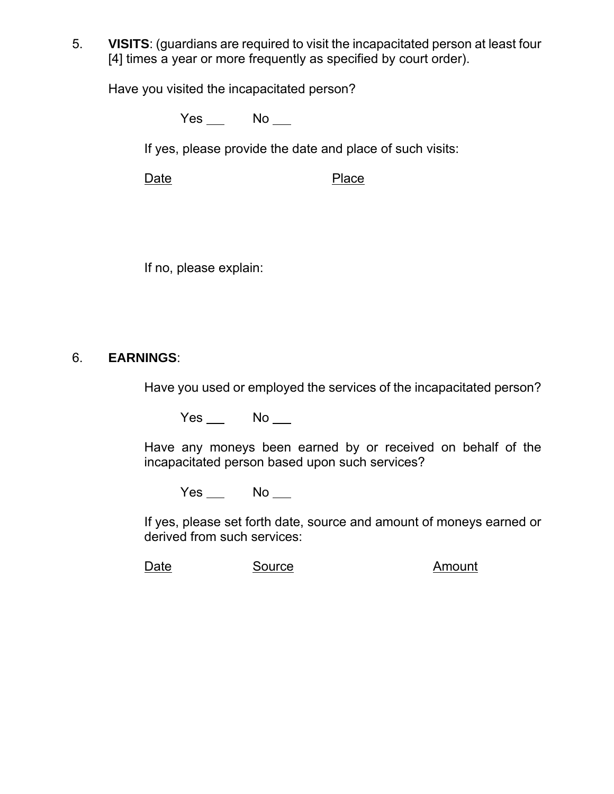5. **VISITS**: (guardians are required to visit the incapacitated person at least four [4] times a year or more frequently as specified by court order).

Have you visited the incapacitated person?

 $Yes$  No  $\Box$ 

If yes, please provide the date and place of such visits:

Date Place

If no, please explain:

### 6. **EARNINGS**:

Have you used or employed the services of the incapacitated person?

 $Yes$  No  $\Box$ 

Have any moneys been earned by or received on behalf of the incapacitated person based upon such services?

 $Yes$  No  $\_\_$ 

If yes, please set forth date, source and amount of moneys earned or derived from such services:

Date Source **Source** Amount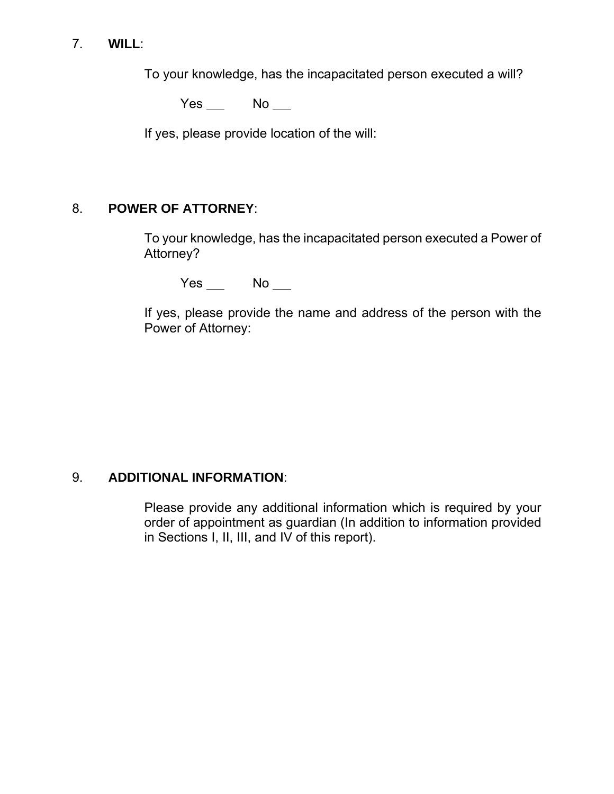#### 7. **WILL**:

To your knowledge, has the incapacitated person executed a will?

 $Yes$  No  $\Box$ 

If yes, please provide location of the will:

### 8. **POWER OF ATTORNEY**:

To your knowledge, has the incapacitated person executed a Power of Attorney?

 $Yes$  No  $\_\_$ 

If yes, please provide the name and address of the person with the Power of Attorney:

#### 9. **ADDITIONAL INFORMATION**:

Please provide any additional information which is required by your order of appointment as guardian (In addition to information provided in Sections I, II, III, and IV of this report).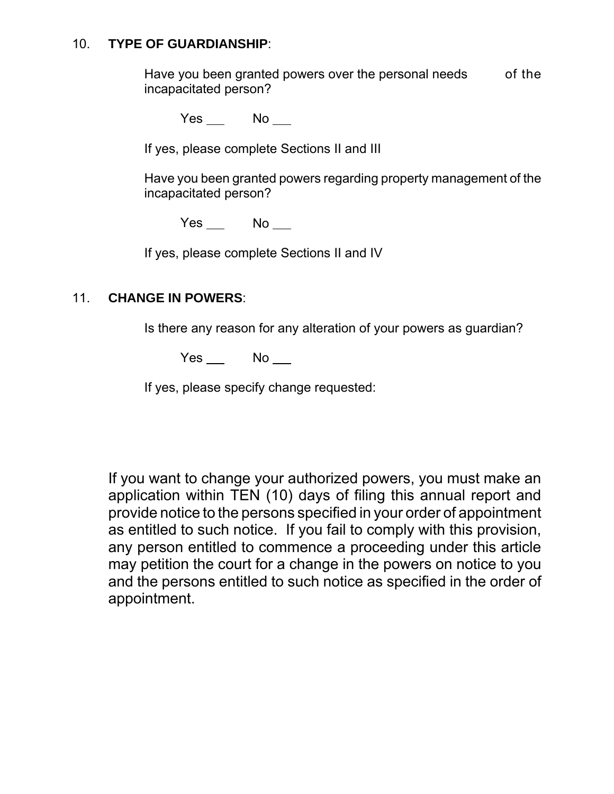#### 10. **TYPE OF GUARDIANSHIP**:

Have you been granted powers over the personal needs of the incapacitated person?

Yes No

If yes, please complete Sections II and III

Have you been granted powers regarding property management of the incapacitated person?

Yes No

If yes, please complete Sections II and IV

### 11. **CHANGE IN POWERS**:

Is there any reason for any alteration of your powers as guardian?

Yes No

If yes, please specify change requested:

If you want to change your authorized powers, you must make an application within TEN (10) days of filing this annual report and provide notice to the persons specified in your order of appointment as entitled to such notice. If you fail to comply with this provision, any person entitled to commence a proceeding under this article may petition the court for a change in the powers on notice to you and the persons entitled to such notice as specified in the order of appointment.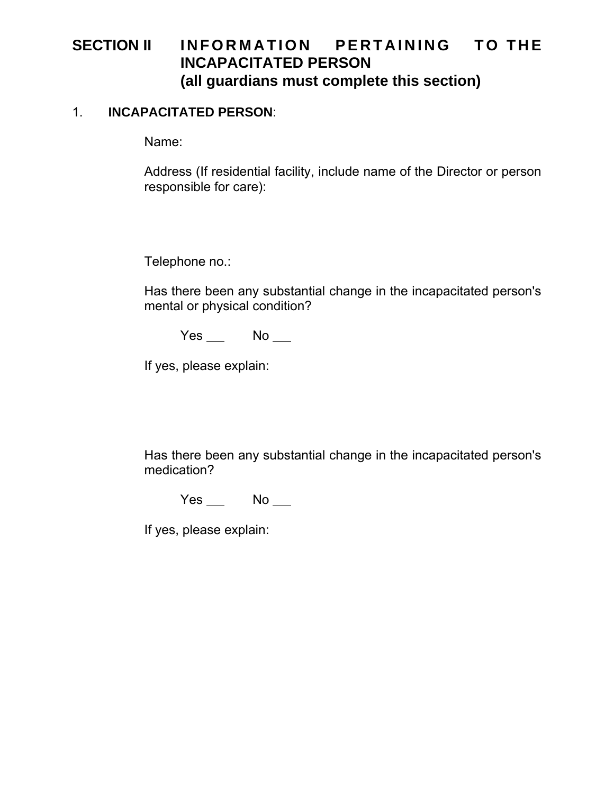### SECTION II INFORMATION PERTAINING TO THE **INCAPACITATED PERSON (all guardians must complete this section)**

#### 1. **INCAPACITATED PERSON**:

Name:

Address (If residential facility, include name of the Director or person responsible for care):

Telephone no.:

Has there been any substantial change in the incapacitated person's mental or physical condition?

Yes No

If yes, please explain:

Has there been any substantial change in the incapacitated person's medication?

 $Yes$  No  $\Box$ 

If yes, please explain: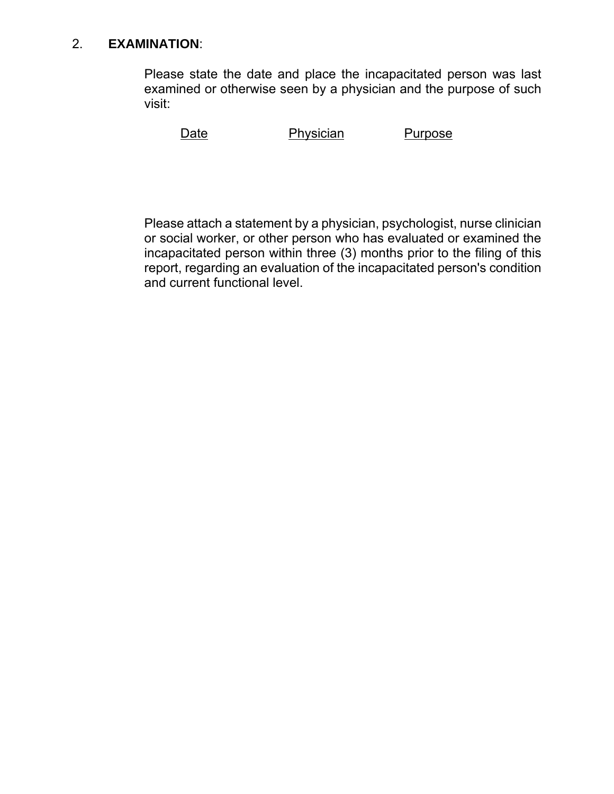#### 2. **EXAMINATION**:

Please state the date and place the incapacitated person was last examined or otherwise seen by a physician and the purpose of such visit:

Date Physician Purpose

Please attach a statement by a physician, psychologist, nurse clinician or social worker, or other person who has evaluated or examined the incapacitated person within three (3) months prior to the filing of this report, regarding an evaluation of the incapacitated person's condition and current functional level.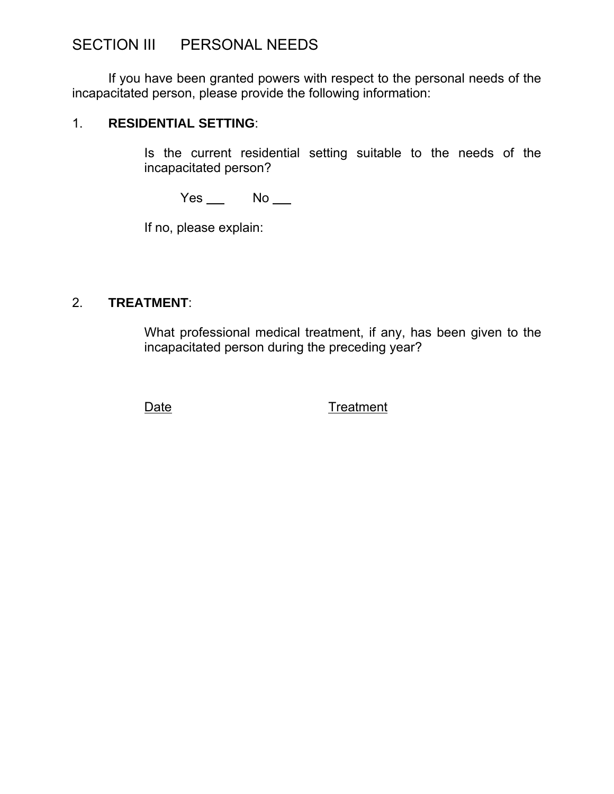### SECTION III PERSONAL NEEDS

If you have been granted powers with respect to the personal needs of the incapacitated person, please provide the following information:

#### 1. **RESIDENTIAL SETTING**:

Is the current residential setting suitable to the needs of the incapacitated person?

 $Yes$  No  $\_\_$ 

If no, please explain:

### 2. **TREATMENT**:

What professional medical treatment, if any, has been given to the incapacitated person during the preceding year?

Date Treatment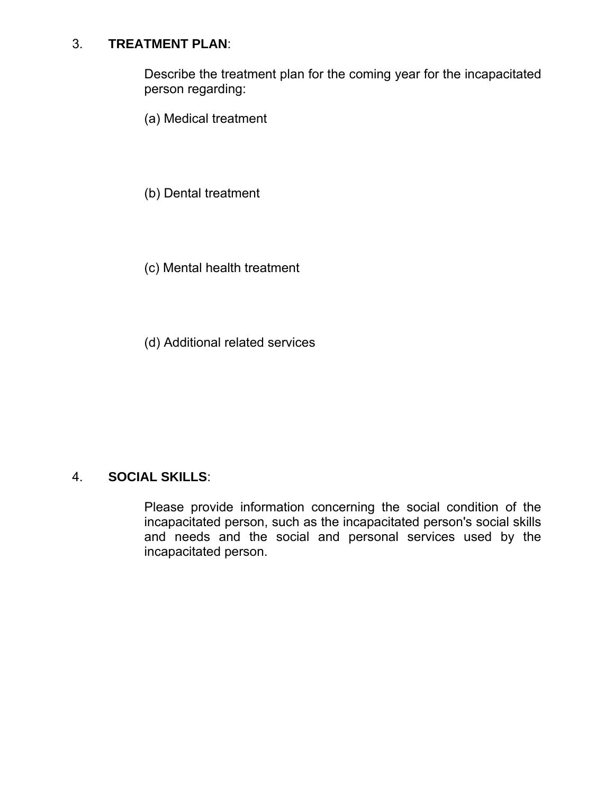#### 3. **TREATMENT PLAN**:

Describe the treatment plan for the coming year for the incapacitated person regarding:

(a) Medical treatment

(b) Dental treatment

(c) Mental health treatment

(d) Additional related services

#### 4. **SOCIAL SKILLS**:

Please provide information concerning the social condition of the incapacitated person, such as the incapacitated person's social skills and needs and the social and personal services used by the incapacitated person.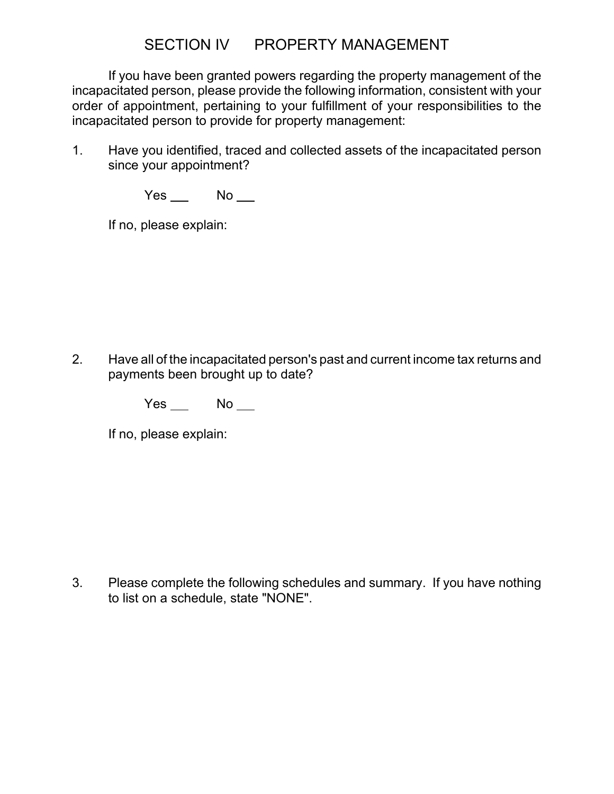### SECTION IV PROPERTY MANAGEMENT

If you have been granted powers regarding the property management of the incapacitated person, please provide the following information, consistent with your order of appointment, pertaining to your fulfillment of your responsibilities to the incapacitated person to provide for property management:

1. Have you identified, traced and collected assets of the incapacitated person since your appointment?

 $Yes$  No  $\_\_$ 

If no, please explain:

2. Have all of the incapacitated person's past and current income tax returns and payments been brought up to date?

 $Yes$  No  $\Box$ 

If no, please explain:

3. Please complete the following schedules and summary. If you have nothing to list on a schedule, state "NONE".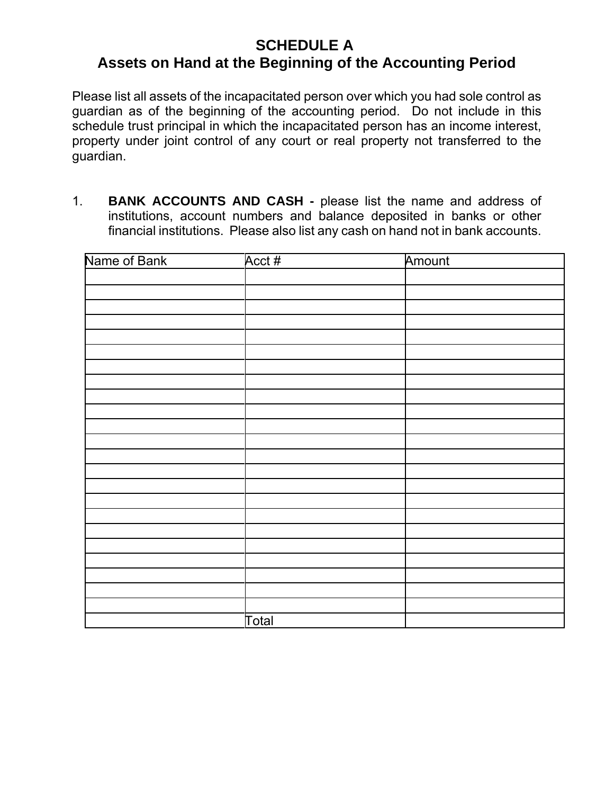### **SCHEDULE A**

### **Assets on Hand at the Beginning of the Accounting Period**

Please list all assets of the incapacitated person over which you had sole control as guardian as of the beginning of the accounting period. Do not include in this schedule trust principal in which the incapacitated person has an income interest, property under joint control of any court or real property not transferred to the guardian.

1. **BANK ACCOUNTS AND CASH -** please list the name and address of institutions, account numbers and balance deposited in banks or other financial institutions. Please also list any cash on hand not in bank accounts.

| Name of Bank | Acct # | Amount |
|--------------|--------|--------|
|              |        |        |
|              |        |        |
|              |        |        |
|              |        |        |
|              |        |        |
|              |        |        |
|              |        |        |
|              |        |        |
|              |        |        |
|              |        |        |
|              |        |        |
|              |        |        |
|              |        |        |
|              |        |        |
|              |        |        |
|              |        |        |
|              |        |        |
|              |        |        |
|              |        |        |
|              |        |        |
|              |        |        |
|              |        |        |
|              |        |        |
|              | Total  |        |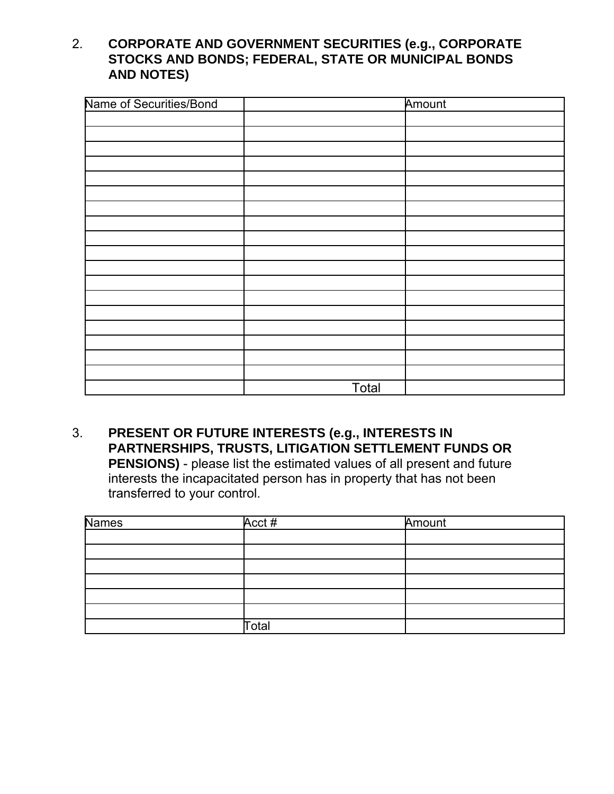### 2. **CORPORATE AND GOVERNMENT SECURITIES (e.g., CORPORATE STOCKS AND BONDS; FEDERAL, STATE OR MUNICIPAL BONDS AND NOTES)**

| Name of Securities/Bond |       | Amount |
|-------------------------|-------|--------|
|                         |       |        |
|                         |       |        |
|                         |       |        |
|                         |       |        |
|                         |       |        |
|                         |       |        |
|                         |       |        |
|                         |       |        |
|                         |       |        |
|                         |       |        |
|                         |       |        |
|                         |       |        |
|                         |       |        |
|                         |       |        |
|                         |       |        |
|                         |       |        |
|                         |       |        |
|                         |       |        |
|                         | Total |        |

#### 3. **PRESENT OR FUTURE INTERESTS (e.g., INTERESTS IN PARTNERSHIPS, TRUSTS, LITIGATION SETTLEMENT FUNDS OR PENSIONS)** - please list the estimated values of all present and future interests the incapacitated person has in property that has not been

transferred to your control.

| <b>Names</b> | Acct# | Amount |
|--------------|-------|--------|
|              |       |        |
|              |       |        |
|              |       |        |
|              |       |        |
|              |       |        |
|              |       |        |
|              | Total |        |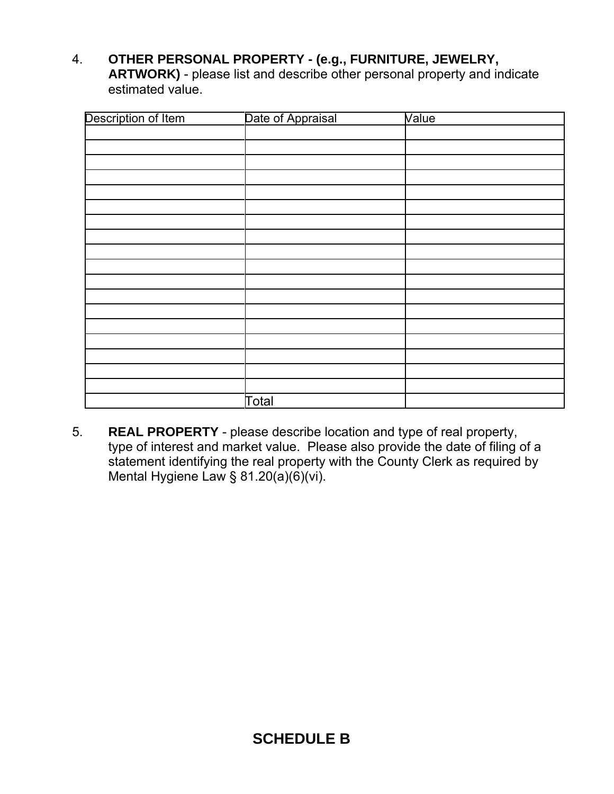4. **OTHER PERSONAL PROPERTY - (e.g., FURNITURE, JEWELRY, ARTWORK)** - please list and describe other personal property and indicate estimated value.

| Description of Item | Date of Appraisal | Value |
|---------------------|-------------------|-------|
|                     |                   |       |
|                     |                   |       |
|                     |                   |       |
|                     |                   |       |
|                     |                   |       |
|                     |                   |       |
|                     |                   |       |
|                     |                   |       |
|                     |                   |       |
|                     |                   |       |
|                     |                   |       |
|                     |                   |       |
|                     |                   |       |
|                     |                   |       |
|                     |                   |       |
|                     |                   |       |
|                     |                   |       |
|                     |                   |       |
|                     | Total             |       |

5. **REAL PROPERTY** - please describe location and type of real property, type of interest and market value. Please also provide the date of filing of a statement identifying the real property with the County Clerk as required by Mental Hygiene Law § 81.20(a)(6)(vi).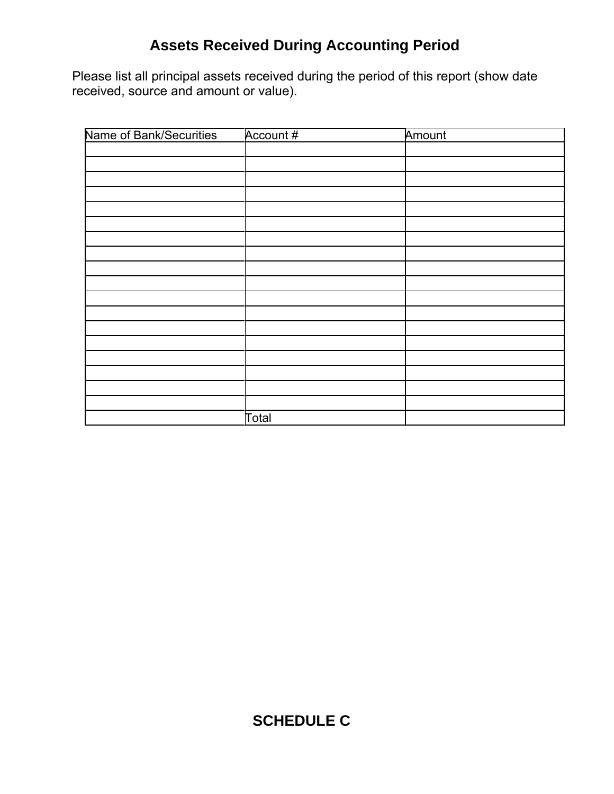# **Assets Received During Accounting Period**

Please list all principal assets received during the period of this report (show date received, source and amount or value).

| Name of Bank/Securities | Account # | Amount |
|-------------------------|-----------|--------|
|                         |           |        |
|                         |           |        |
|                         |           |        |
|                         |           |        |
|                         |           |        |
|                         |           |        |
|                         |           |        |
|                         |           |        |
|                         |           |        |
|                         |           |        |
|                         |           |        |
|                         |           |        |
|                         |           |        |
|                         |           |        |
|                         |           |        |
|                         |           |        |
|                         |           |        |
|                         |           |        |
|                         | Total     |        |

# **SCHEDULE C**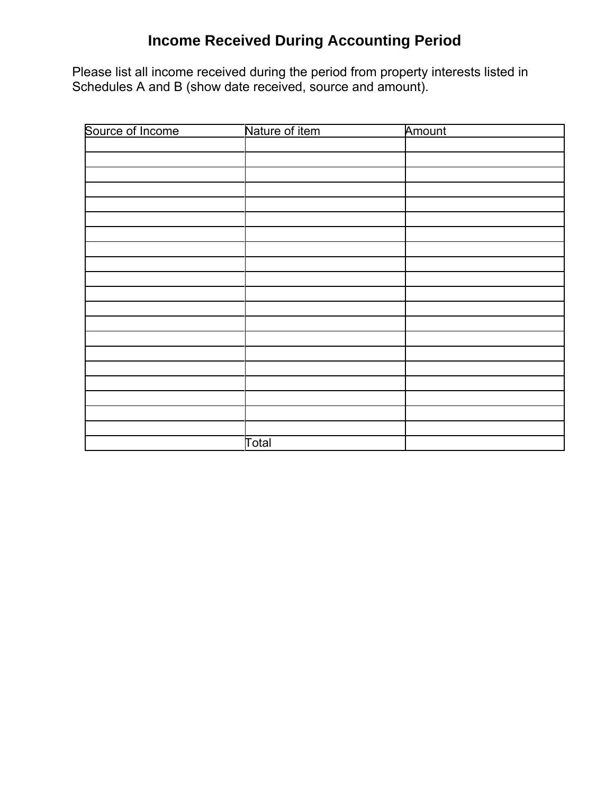# **Income Received During Accounting Period**

Please list all income received during the period from property interests listed in Schedules A and B (show date received, source and amount).

| Source of Income | Nature of item | Amount |  |
|------------------|----------------|--------|--|
|                  |                |        |  |
|                  |                |        |  |
|                  |                |        |  |
|                  |                |        |  |
|                  |                |        |  |
|                  |                |        |  |
|                  |                |        |  |
|                  |                |        |  |
|                  |                |        |  |
|                  |                |        |  |
|                  |                |        |  |
|                  |                |        |  |
|                  |                |        |  |
|                  |                |        |  |
|                  |                |        |  |
|                  |                |        |  |
|                  |                |        |  |
|                  |                |        |  |
|                  |                |        |  |
|                  |                |        |  |
|                  | Total          |        |  |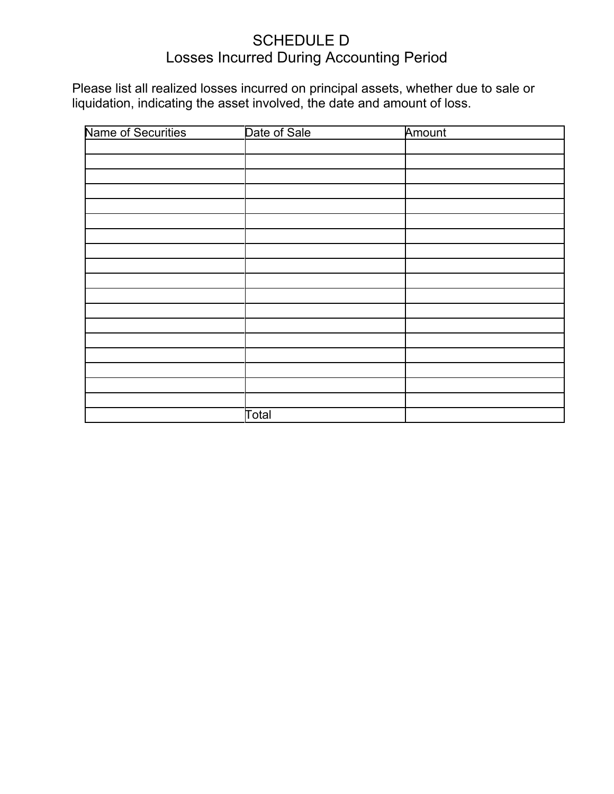### SCHEDULE D Losses Incurred During Accounting Period

Please list all realized losses incurred on principal assets, whether due to sale or liquidation, indicating the asset involved, the date and amount of loss.

| Name of Securities | Date of Sale | Amount |  |
|--------------------|--------------|--------|--|
|                    |              |        |  |
|                    |              |        |  |
|                    |              |        |  |
|                    |              |        |  |
|                    |              |        |  |
|                    |              |        |  |
|                    |              |        |  |
|                    |              |        |  |
|                    |              |        |  |
|                    |              |        |  |
|                    |              |        |  |
|                    |              |        |  |
|                    |              |        |  |
|                    |              |        |  |
|                    |              |        |  |
|                    |              |        |  |
|                    |              |        |  |
|                    |              |        |  |
|                    | Total        |        |  |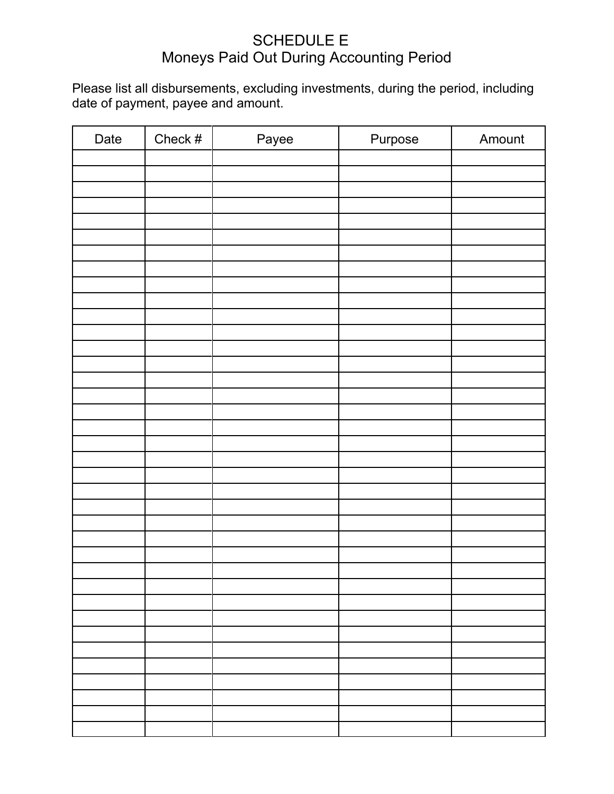### SCHEDULE E Moneys Paid Out During Accounting Period

Please list all disbursements, excluding investments, during the period, including date of payment, payee and amount.

| Date | Check $#$ | Payee | Purpose | Amount |
|------|-----------|-------|---------|--------|
|      |           |       |         |        |
|      |           |       |         |        |
|      |           |       |         |        |
|      |           |       |         |        |
|      |           |       |         |        |
|      |           |       |         |        |
|      |           |       |         |        |
|      |           |       |         |        |
|      |           |       |         |        |
|      |           |       |         |        |
|      |           |       |         |        |
|      |           |       |         |        |
|      |           |       |         |        |
|      |           |       |         |        |
|      |           |       |         |        |
|      |           |       |         |        |
|      |           |       |         |        |
|      |           |       |         |        |
|      |           |       |         |        |
|      |           |       |         |        |
|      |           |       |         |        |
|      |           |       |         |        |
|      |           |       |         |        |
|      |           |       |         |        |
|      |           |       |         |        |
|      |           |       |         |        |
|      |           |       |         |        |
|      |           |       |         |        |
|      |           |       |         |        |
|      |           |       |         |        |
|      |           |       |         |        |
|      |           |       |         |        |
|      |           |       |         |        |
|      |           |       |         |        |
|      |           |       |         |        |
|      |           |       |         |        |
|      |           |       |         |        |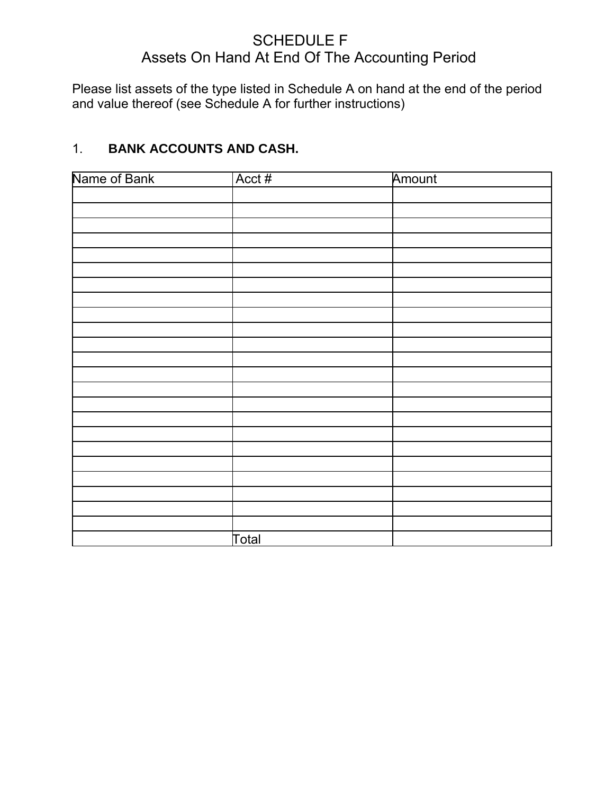### SCHEDULE F Assets On Hand At End Of The Accounting Period

Please list assets of the type listed in Schedule A on hand at the end of the period and value thereof (see Schedule A for further instructions)

### 1. **BANK ACCOUNTS AND CASH.**

| Name of Bank | Acct# | Amount |  |
|--------------|-------|--------|--|
|              |       |        |  |
|              |       |        |  |
|              |       |        |  |
|              |       |        |  |
|              |       |        |  |
|              |       |        |  |
|              |       |        |  |
|              |       |        |  |
|              |       |        |  |
|              |       |        |  |
|              |       |        |  |
|              |       |        |  |
|              |       |        |  |
|              |       |        |  |
|              |       |        |  |
|              |       |        |  |
|              |       |        |  |
|              |       |        |  |
|              |       |        |  |
|              |       |        |  |
|              |       |        |  |
|              |       |        |  |
|              |       |        |  |
|              | Total |        |  |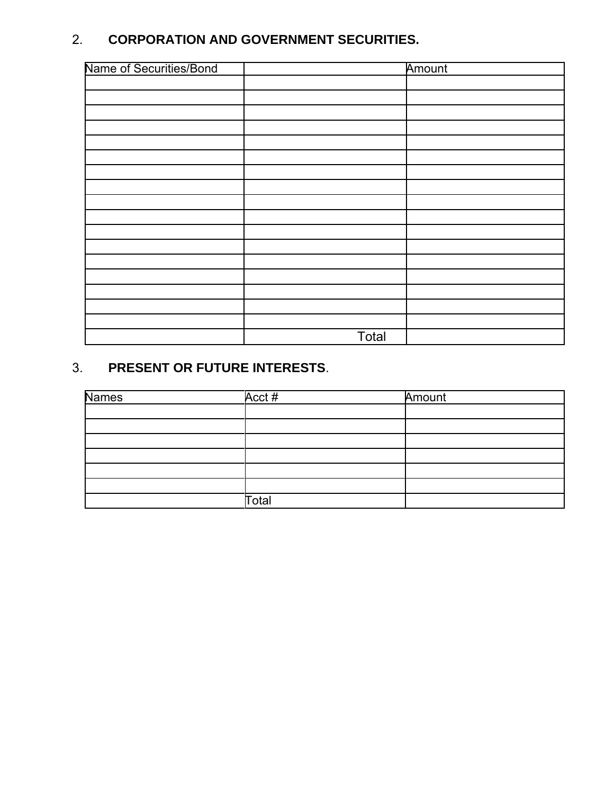### 2. **CORPORATION AND GOVERNMENT SECURITIES.**

| Name of Securities/Bond |       | Amount |
|-------------------------|-------|--------|
|                         |       |        |
|                         |       |        |
|                         |       |        |
|                         |       |        |
|                         |       |        |
|                         |       |        |
|                         |       |        |
|                         |       |        |
|                         |       |        |
|                         |       |        |
|                         |       |        |
|                         |       |        |
|                         |       |        |
|                         |       |        |
|                         |       |        |
|                         |       |        |
|                         |       |        |
|                         | Total |        |

### 3. **PRESENT OR FUTURE INTERESTS**.

| <b>Names</b> | Acct# | Amount |
|--------------|-------|--------|
|              |       |        |
|              |       |        |
|              |       |        |
|              |       |        |
|              |       |        |
|              |       |        |
|              | Total |        |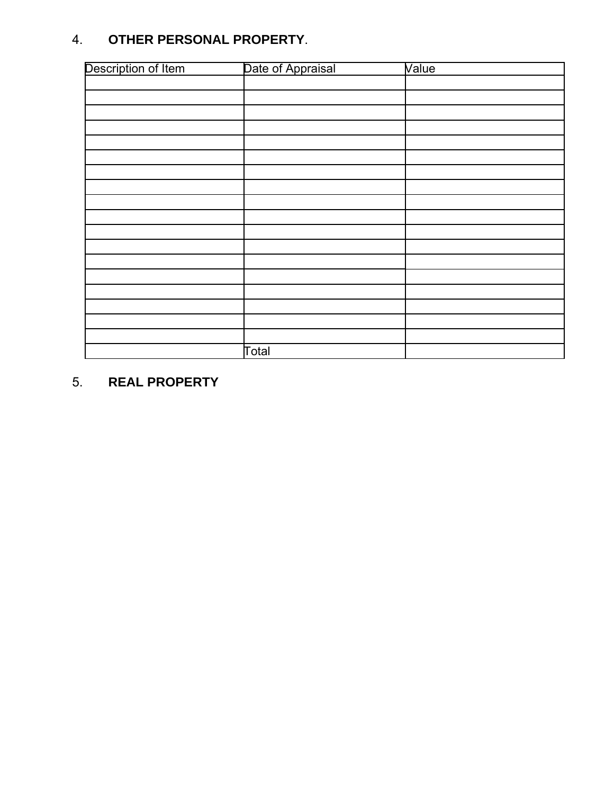### 4. **OTHER PERSONAL PROPERTY**.

| Description of Item | Date of Appraisal | Value |
|---------------------|-------------------|-------|
|                     |                   |       |
|                     |                   |       |
|                     |                   |       |
|                     |                   |       |
|                     |                   |       |
|                     |                   |       |
|                     |                   |       |
|                     |                   |       |
|                     |                   |       |
|                     |                   |       |
|                     |                   |       |
|                     |                   |       |
|                     |                   |       |
|                     |                   |       |
|                     |                   |       |
|                     |                   |       |
|                     |                   |       |
|                     |                   |       |
|                     | Total             |       |

5. **REAL PROPERTY**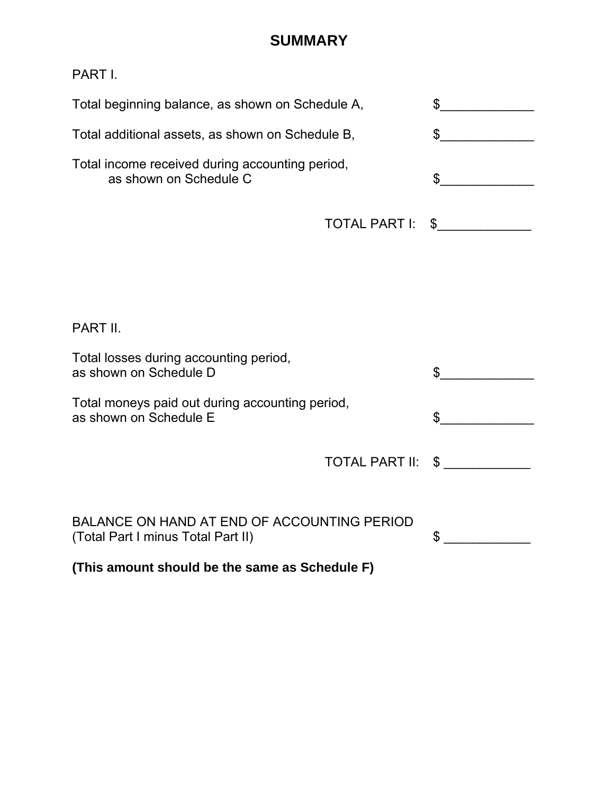### **SUMMARY**

PART I.

| Total beginning balance, as shown on Schedule A,                          |               |  |
|---------------------------------------------------------------------------|---------------|--|
| Total additional assets, as shown on Schedule B,                          |               |  |
| Total income received during accounting period,<br>as shown on Schedule C |               |  |
|                                                                           | TOTAL PART I: |  |

| (This amount should be the same as Schedule F)                                    |                   |  |  |  |
|-----------------------------------------------------------------------------------|-------------------|--|--|--|
| BALANCE ON HAND AT END OF ACCOUNTING PERIOD<br>(Total Part I minus Total Part II) |                   |  |  |  |
|                                                                                   | TOTAL PART II: \$ |  |  |  |
| Total moneys paid out during accounting period,<br>as shown on Schedule E         |                   |  |  |  |
| Total losses during accounting period,<br>as shown on Schedule D                  |                   |  |  |  |
| PART II.                                                                          |                   |  |  |  |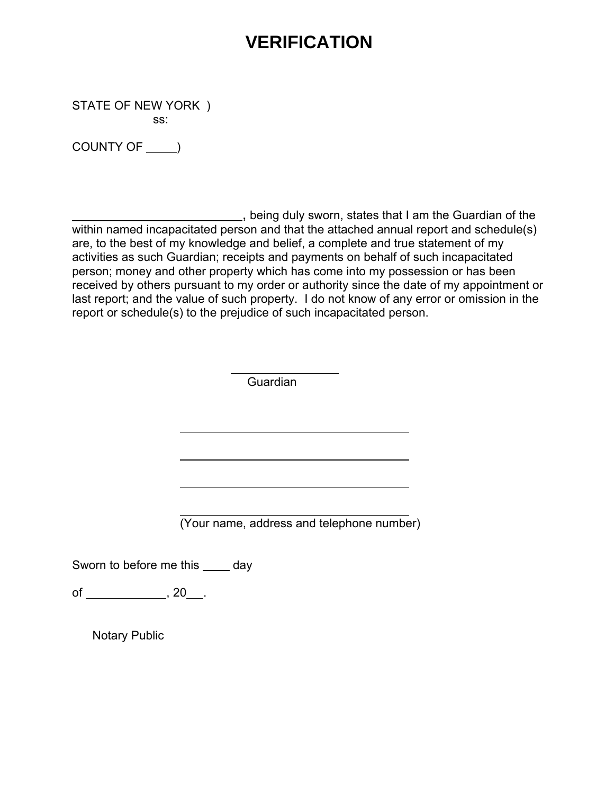# **VERIFICATION**

STATE OF NEW YORK ) ss:

COUNTY OF \_\_\_\_ )

**COLOGITATION**, being duly sworn, states that I am the Guardian of the within named incapacitated person and that the attached annual report and schedule(s) are, to the best of my knowledge and belief, a complete and true statement of my activities as such Guardian; receipts and payments on behalf of such incapacitated person; money and other property which has come into my possession or has been received by others pursuant to my order or authority since the date of my appointment or last report; and the value of such property. I do not know of any error or omission in the report or schedule(s) to the prejudice of such incapacitated person.

**Guardian** 

(Your name, address and telephone number)

Sworn to before me this day

of , 20 .

Notary Public